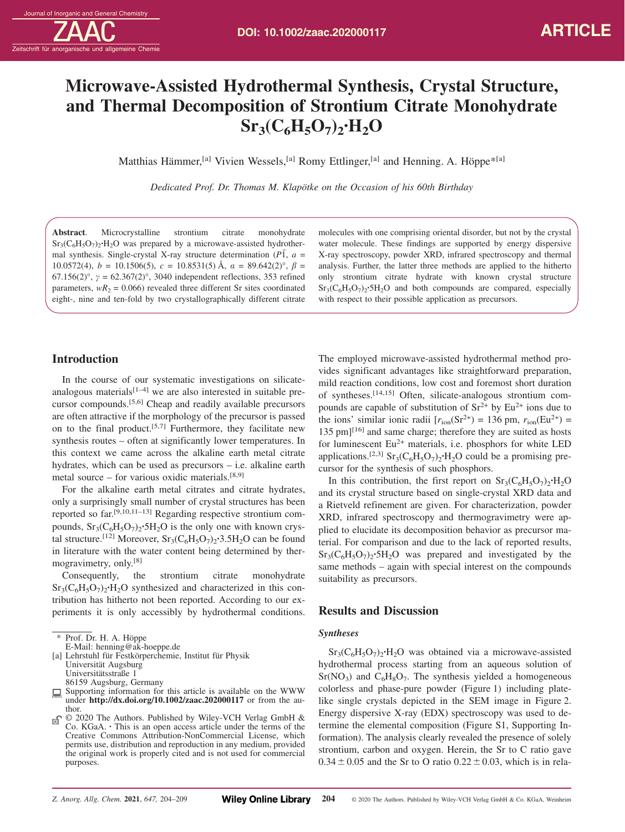zeitschrift für anorganische und allgemeine Chemie

# **Microwave-Assisted Hydrothermal Synthesis, Crystal Structure, and Thermal Decomposition of Strontium Citrate Monohydrate**  $Sr_3(C_6H_5O_7)_2 \cdot H_2O$

Matthias Hämmer,<sup>[a]</sup> Vivien Wessels,<sup>[a]</sup> Romy Ettlinger,<sup>[a]</sup> and Henning. A. Höppe<sup>\*[a]</sup>

*Dedicated Prof. Dr. Thomas M. Klapötke on the Occasion of his 60th Birthday*

**Abstract**. Microcrystalline strontium citrate monohydrate  $Sr<sub>3</sub>(C<sub>6</sub>H<sub>5</sub>O<sub>7</sub>)<sub>2</sub>·H<sub>2</sub>O$  was prepared by a microwave-assisted hydrothermal synthesis. Single-crystal X-ray structure determination  $(P\bar{1}, a =$ 10.0572(4),  $b = 10.1506(5)$ ,  $c = 10.8531(5)$  Å,  $a = 89.642(2)$ °,  $\beta =$ 67.156(2)°, *γ* = 62.367(2)°, 3040 independent reflections, 353 refined parameters,  $wR_2 = 0.066$ ) revealed three different Sr sites coordinated eight-, nine and ten-fold by two crystallographically different citrate

# **Introduction**

In the course of our systematic investigations on silicateanalogous materials $[1-4]$  we are also interested in suitable precursor compounds.[5,6] Cheap and readily available precursors are often attractive if the morphology of the precursor is passed on to the final product.<sup>[5,7]</sup> Furthermore, they facilitate new synthesis routes – often at significantly lower temperatures. In this context we came across the alkaline earth metal citrate hydrates, which can be used as precursors – i.e. alkaline earth metal source – for various oxidic materials. $[8,9]$ 

For the alkaline earth metal citrates and citrate hydrates, only a surprisingly small number of crystal structures has been reported so far.[9,10,11–13] Regarding respective strontium compounds,  $Sr_3(C_6H_5O_7)_2 \cdot 5H_2O$  is the only one with known crystal structure.<sup>[12]</sup> Moreover,  $Sr_3(C_6H_5O_7)_2 \cdot 3.5H_2O$  can be found in literature with the water content being determined by thermogravimetry, only.[8]

Consequently, the strontium citrate monohydrate  $Sr<sub>3</sub>(C<sub>6</sub>H<sub>5</sub>O<sub>7</sub>)<sub>2</sub>·H<sub>2</sub>O$  synthesized and characterized in this contribution has hitherto not been reported. According to our experiments it is only accessibly by hydrothermal conditions. molecules with one comprising oriental disorder, but not by the crystal water molecule. These findings are supported by energy dispersive X-ray spectroscopy, powder XRD, infrared spectroscopy and thermal analysis. Further, the latter three methods are applied to the hitherto only strontium citrate hydrate with known crystal structure  $Sr<sub>3</sub>(C<sub>6</sub>H<sub>5</sub>O<sub>7</sub>)<sub>2</sub>·5H<sub>2</sub>O$  and both compounds are compared, especially with respect to their possible application as precursors.

The employed microwave-assisted hydrothermal method provides significant advantages like straightforward preparation, mild reaction conditions, low cost and foremost short duration of syntheses.[14,15] Often, silicate-analogous strontium compounds are capable of substitution of  $Sr^{2+}$  by Eu<sup>2+</sup> ions due to the ions' similar ionic radii  $[r<sub>ion</sub>(Sr<sup>2+</sup>) = 136 \text{ pm}, r<sub>ion</sub>(Eu<sup>2+</sup>) =$  $135 \text{ pm}$ <sup>[16]</sup> and same charge; therefore they are suited as hosts for luminescent  $Eu^{2+}$  materials, i.e. phosphors for white LED applications.<sup>[2,3]</sup> Sr<sub>3</sub>( $C_6H_5O_7$ )<sub>2</sub>**·**H<sub>2</sub>O could be a promising precursor for the synthesis of such phosphors.

In this contribution, the first report on  $Sr_3(C_6H_5O_7)_2 \cdot H_2O$ and its crystal structure based on single-crystal XRD data and a Rietveld refinement are given. For characterization, powder XRD, infrared spectroscopy and thermogravimetry were applied to elucidate its decomposition behavior as precursor material. For comparison and due to the lack of reported results,  $Sr<sub>3</sub>(C<sub>6</sub>H<sub>5</sub>O<sub>7</sub>)<sub>2</sub>·5H<sub>2</sub>O$  was prepared and investigated by the same methods – again with special interest on the compounds suitability as precursors.

# **Results and Discussion**

### *Syntheses*

Sr3(C6H5O7)2**·**H2O was obtained via a microwave-assisted hydrothermal process starting from an aqueous solution of  $Sr(NO<sub>3</sub>)$  and  $C<sub>6</sub>H<sub>8</sub>O<sub>7</sub>$ . The synthesis yielded a homogeneous colorless and phase-pure powder (Figure 1) including platelike single crystals depicted in the SEM image in Figure 2. Energy dispersive X-ray (EDX) spectroscopy was used to determine the elemental composition (Figure S1, Supporting Information). The analysis clearly revealed the presence of solely strontium, carbon and oxygen. Herein, the Sr to C ratio gave  $0.34 \pm 0.05$  and the Sr to O ratio  $0.22 \pm 0.03$ , which is in rela-

Prof. Dr. H. A. Höppe

E-Mail: henning@ak-hoeppe.de

<sup>[</sup>a] Lehrstuhl für Festkörperchemie, Institut für Physik Universität Augsburg Universitätsstraße 1 86159 Augsburg, Germany

 $\Box$  Supporting information for this article is available on the WWW under **http://dx.doi.org/10.1002/zaac.202000117** or from the author.

<sup>© 2020</sup> The Authors. Published by Wiley-VCH Verlag GmbH & ெ Co. KGaA. **·** This is an open access article under the terms of the Creative Commons Attribution-NonCommercial License, which permits use, distribution and reproduction in any medium, provided the original work is properly cited and is not used for commercial purposes.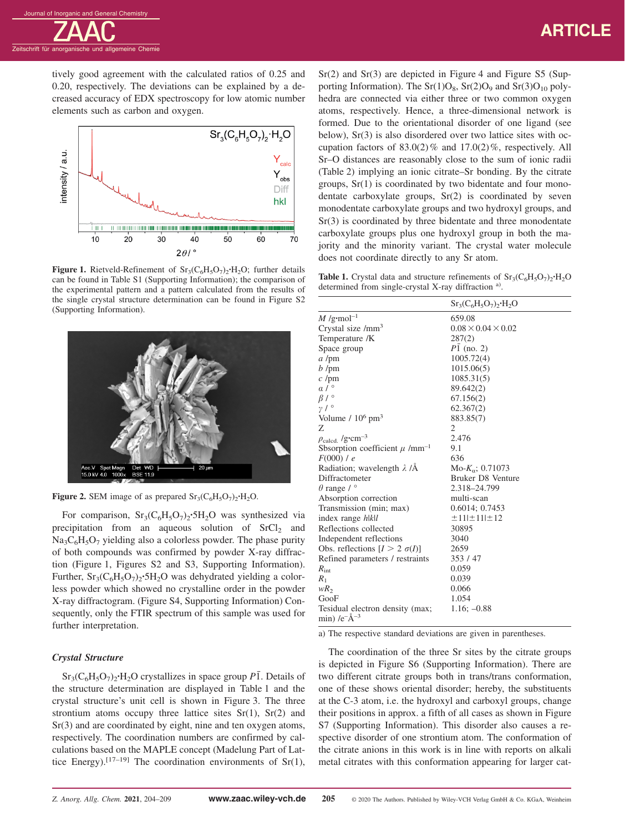zeitschrift für anorganische und allgemeine Chemie

tively good agreement with the calculated ratios of 0.25 and 0.20, respectively. The deviations can be explained by a decreased accuracy of EDX spectroscopy for low atomic number elements such as carbon and oxygen.



**Figure 1.** Rietveld-Refinement of  $Sr_3(C_6H_5O_7)_2 \cdot H_2O$ ; further details can be found in Table S1 (Supporting Information); the comparison of the experimental pattern and a pattern calculated from the results of the single crystal structure determination can be found in Figure S2 (Supporting Information).



**Figure 2.** SEM image of as prepared  $Sr_3(C_6H_5O_7)_2 \cdot H_2O$ .

For comparison,  $Sr_3(C_6H_5O_7)_2 \cdot 5H_2O$  was synthesized via precipitation from an aqueous solution of  $SrCl<sub>2</sub>$  and  $Na<sub>3</sub>C<sub>6</sub>H<sub>5</sub>O<sub>7</sub>$  yielding also a colorless powder. The phase purity of both compounds was confirmed by powder X-ray diffraction (Figure 1, Figures S2 and S3, Supporting Information). Further,  $Sr_3(C_6H_5O_7)$ <sup>2</sup>·5H<sub>2</sub>O was dehydrated yielding a colorless powder which showed no crystalline order in the powder X-ray diffractogram. (Figure S4, Supporting Information) Consequently, only the FTIR spectrum of this sample was used for further interpretation.

## *Crystal Structure*

 $Sr<sub>3</sub>(C<sub>6</sub>H<sub>5</sub>O<sub>7</sub>)<sub>2</sub>·H<sub>2</sub>O$  crystallizes in space group  $P\overline{1}$ . Details of the structure determination are displayed in Table 1 and the crystal structure's unit cell is shown in Figure 3. The three strontium atoms occupy three lattice sites  $Sr(1)$ ,  $Sr(2)$  and Sr(3) and are coordinated by eight, nine and ten oxygen atoms, respectively. The coordination numbers are confirmed by calculations based on the MAPLE concept (Madelung Part of Lattice Energy).<sup>[17–19]</sup> The coordination environments of Sr(1),

 $Sr(2)$  and  $Sr(3)$  are depicted in Figure 4 and Figure S5 (Supporting Information). The  $Sr(1)O_8$ ,  $Sr(2)O_9$  and  $Sr(3)O_{10}$  polyhedra are connected via either three or two common oxygen atoms, respectively. Hence, a three-dimensional network is formed. Due to the orientational disorder of one ligand (see below), Sr(3) is also disordered over two lattice sites with occupation factors of  $83.0(2)$ % and  $17.0(2)$ %, respectively. All Sr–O distances are reasonably close to the sum of ionic radii (Table 2) implying an ionic citrate–Sr bonding. By the citrate groups, Sr(1) is coordinated by two bidentate and four monodentate carboxylate groups, Sr(2) is coordinated by seven monodentate carboxylate groups and two hydroxyl groups, and Sr(3) is coordinated by three bidentate and three monodentate carboxylate groups plus one hydroxyl group in both the majority and the minority variant. The crystal water molecule does not coordinate directly to any Sr atom.

**Table 1.** Crystal data and structure refinements of  $Sr_3(C_6H_5O_7)_2 \cdot H_2O$ determined from single-crystal X-ray diffraction a).

| 659.08                         |
|--------------------------------|
| $0.08 \times 0.04 \times 0.02$ |
| 287(2)                         |
| $P1$ (no. 2)                   |
| 1005.72(4)                     |
| 1015.06(5)                     |
| 1085.31(5)                     |
| 89.642(2)                      |
| 67.156(2)                      |
| 62.367(2)                      |
| 883.85(7)                      |
| $\mathfrak{2}$                 |
| 2.476                          |
| 9.1                            |
| 636                            |
| $Mo-K_{\alpha}; 0.71073$       |
| Bruker D8 Venture              |
| 2.318-24.799                   |
| multi-scan                     |
| 0.6014; 0.7453                 |
| ±11 ±11 ±12                    |
| 30895                          |
| 3040                           |
| 2659                           |
| 353 / 47                       |
| 0.059                          |
| 0.039                          |
| 0.066                          |
| 1.054                          |
| $1.16: -0.88$                  |
|                                |

a) The respective standard deviations are given in parentheses.

The coordination of the three Sr sites by the citrate groups is depicted in Figure S6 (Supporting Information). There are two different citrate groups both in trans/trans conformation, one of these shows oriental disorder; hereby, the substituents at the C-3 atom, i.e. the hydroxyl and carboxyl groups, change their positions in approx. a fifth of all cases as shown in Figure S7 (Supporting Information). This disorder also causes a respective disorder of one strontium atom. The conformation of the citrate anions in this work is in line with reports on alkali metal citrates with this conformation appearing for larger cat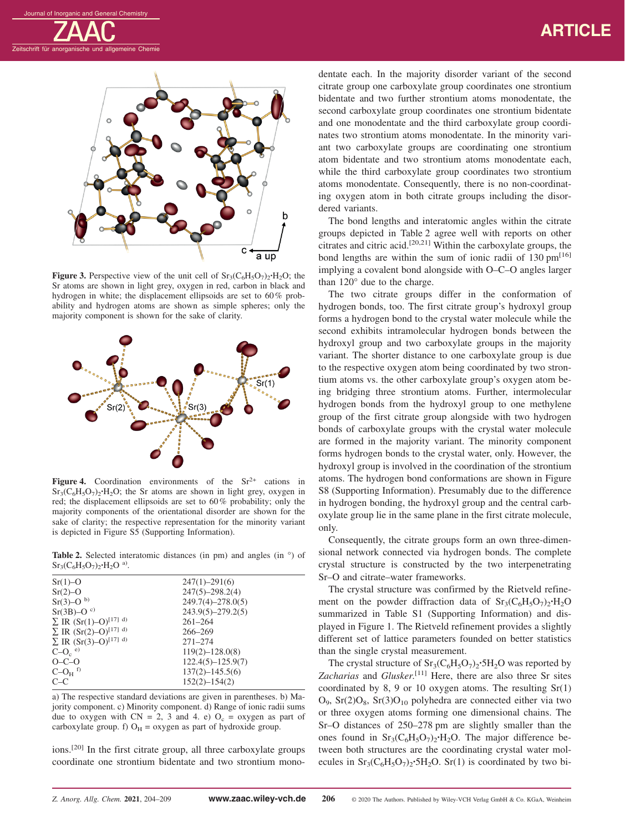zeitschrift für anorganische und allgemeine Chemi



**Figure 3.** Perspective view of the unit cell of  $Sr_3(C_6H_5O_7)_{2} \cdot H_2O$ ; the Sr atoms are shown in light grey, oxygen in red, carbon in black and hydrogen in white; the displacement ellipsoids are set to 60% probability and hydrogen atoms are shown as simple spheres; only the majority component is shown for the sake of clarity.



**Figure 4.** Coordination environments of the  $Sr^{2+}$  cations in  $Sr_3(C_6H_5O_7)$ <sup>2</sup> $\cdot$ H<sub>2</sub>O; the Sr atoms are shown in light grey, oxygen in red; the displacement ellipsoids are set to 60% probability; only the majority components of the orientational disorder are shown for the sake of clarity; the respective representation for the minority variant is depicted in Figure S5 (Supporting Information).

Table 2. Selected interatomic distances (in pm) and angles (in  $\degree$ ) of  $Sr_3(C_6H_5O_7)_2 \cdot H_2O^{a)}$ .

| $Sr(1)-O$                         | $247(1) - 291(6)$     |
|-----------------------------------|-----------------------|
| $Sr(2)-O$                         | $247(5) - 298.2(4)$   |
| $Sr(3)-O^{b)}$                    | $249.7(4) - 278.0(5)$ |
| $Sr(3B)-Oc$                       | $243.9(5) - 279.2(5)$ |
| $\Sigma$ IR $(Sr(1)-O)^{[17]}$ d) | $261 - 264$           |
| $\Sigma$ IR $(Sr(2)-O)^{[17]}$ d) | $266 - 269$           |
| $\Sigma$ IR $(Sr(3)-O)^{[17]}$ d) | $271 - 274$           |
| $C-Oc$ <sup>e)</sup>              | $119(2) - 128.0(8)$   |
| $O-C-O$                           | $122.4(5) - 125.9(7)$ |
| $C-OH$ <sup>f)</sup>              | $137(2) - 145.5(6)$   |
| $C-C$                             | $152(2) - 154(2)$     |
|                                   |                       |

a) The respective standard deviations are given in parentheses. b) Majority component. c) Minority component. d) Range of ionic radii sums due to oxygen with  $CN = 2$ , 3 and 4. e)  $O_c = \text{oxygen}$  as part of carboxylate group. f)  $O_H = \text{oxygen}$  as part of hydroxide group.

ions.[20] In the first citrate group, all three carboxylate groups coordinate one strontium bidentate and two strontium monodentate each. In the majority disorder variant of the second citrate group one carboxylate group coordinates one strontium bidentate and two further strontium atoms monodentate, the second carboxylate group coordinates one strontium bidentate and one monodentate and the third carboxylate group coordinates two strontium atoms monodentate. In the minority variant two carboxylate groups are coordinating one strontium atom bidentate and two strontium atoms monodentate each, while the third carboxylate group coordinates two strontium atoms monodentate. Consequently, there is no non-coordinating oxygen atom in both citrate groups including the disordered variants.

The bond lengths and interatomic angles within the citrate groups depicted in Table 2 agree well with reports on other citrates and citric acid.[20,21] Within the carboxylate groups, the bond lengths are within the sum of ionic radii of  $130 \text{ pm}^{[16]}$ implying a covalent bond alongside with O–C–O angles larger than 120° due to the charge.

The two citrate groups differ in the conformation of hydrogen bonds, too. The first citrate group's hydroxyl group forms a hydrogen bond to the crystal water molecule while the second exhibits intramolecular hydrogen bonds between the hydroxyl group and two carboxylate groups in the majority variant. The shorter distance to one carboxylate group is due to the respective oxygen atom being coordinated by two strontium atoms vs. the other carboxylate group's oxygen atom being bridging three strontium atoms. Further, intermolecular hydrogen bonds from the hydroxyl group to one methylene group of the first citrate group alongside with two hydrogen bonds of carboxylate groups with the crystal water molecule are formed in the majority variant. The minority component forms hydrogen bonds to the crystal water, only. However, the hydroxyl group is involved in the coordination of the strontium atoms. The hydrogen bond conformations are shown in Figure S8 (Supporting Information). Presumably due to the difference in hydrogen bonding, the hydroxyl group and the central carboxylate group lie in the same plane in the first citrate molecule, only.

Consequently, the citrate groups form an own three-dimensional network connected via hydrogen bonds. The complete crystal structure is constructed by the two interpenetrating Sr–O and citrate–water frameworks.

The crystal structure was confirmed by the Rietveld refinement on the powder diffraction data of  $Sr_3(C_6H_5O_7)_2 \cdot H_2O$ summarized in Table S1 (Supporting Information) and displayed in Figure 1. The Rietveld refinement provides a slightly different set of lattice parameters founded on better statistics than the single crystal measurement.

The crystal structure of  $Sr_3(C_6H_5O_7)_2$ <sup>•</sup>5H<sub>2</sub>O was reported by *Zacharias* and *Glusker*. [11] Here, there are also three Sr sites coordinated by 8, 9 or 10 oxygen atoms. The resulting Sr(1)  $O_9$ , Sr(2) $O_8$ , Sr(3) $O_{10}$  polyhedra are connected either via two or three oxygen atoms forming one dimensional chains. The Sr–O distances of 250–278 pm are slightly smaller than the ones found in  $Sr_3(C_6H_5O_7)$ <sup>2</sup> $H_2O$ . The major difference between both structures are the coordinating crystal water molecules in  $Sr_3(C_6H_5O_7)_2 \cdot 5H_2O$ . Sr(1) is coordinated by two bi-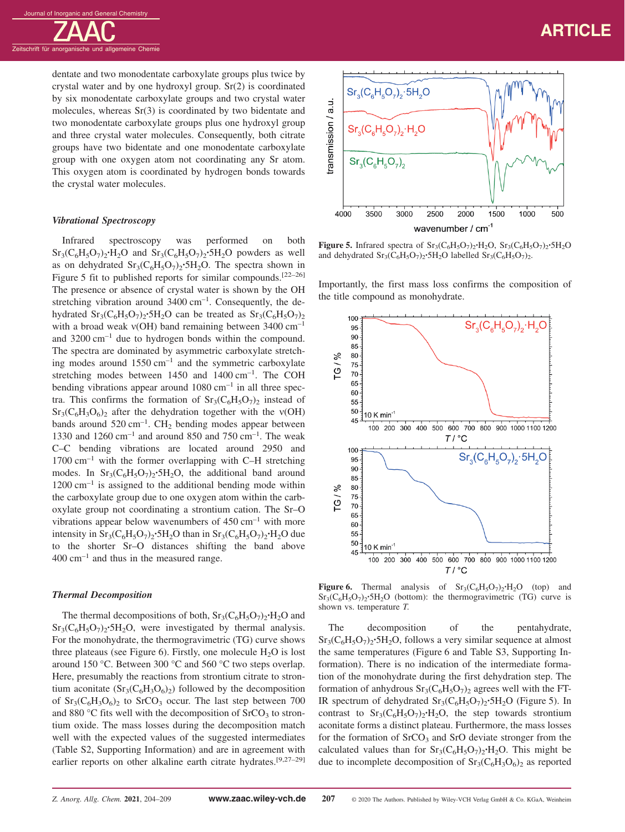

dentate and two monodentate carboxylate groups plus twice by crystal water and by one hydroxyl group. Sr(2) is coordinated by six monodentate carboxylate groups and two crystal water molecules, whereas Sr(3) is coordinated by two bidentate and two monodentate carboxylate groups plus one hydroxyl group and three crystal water molecules. Consequently, both citrate groups have two bidentate and one monodentate carboxylate group with one oxygen atom not coordinating any Sr atom. This oxygen atom is coordinated by hydrogen bonds towards the crystal water molecules.

#### *Vibrational Spectroscopy*

Infrared spectroscopy was performed on both Sr<sub>3</sub>(C<sub>6</sub>H<sub>5</sub>O<sub>7</sub>)<sub>2</sub>·H<sub>2</sub>O and Sr<sub>3</sub>(C<sub>6</sub>H<sub>5</sub>O<sub>7</sub>)<sub>2</sub>·5H<sub>2</sub>O powders as well as on dehydrated  $Sr_3(C_6H_5O_7)_2 \cdot 5H_2O$ . The spectra shown in Figure 5 fit to published reports for similar compounds.[22–26] The presence or absence of crystal water is shown by the OH stretching vibration around  $3400 \text{ cm}^{-1}$ . Consequently, the dehydrated  $Sr_3(C_6H_5O_7)$ <sup>2</sup>·5H<sub>2</sub>O can be treated as  $Sr_3(C_6H_5O_7)$ <sub>2</sub> with a broad weak ν(OH) band remaining between 3400 cm<sup>-1</sup> and  $3200 \text{ cm}^{-1}$  due to hydrogen bonds within the compound. The spectra are dominated by asymmetric carboxylate stretching modes around  $1550 \text{ cm}^{-1}$  and the symmetric carboxylate stretching modes between  $1450$  and  $1400 \text{ cm}^{-1}$ . The COH bending vibrations appear around  $1080 \text{ cm}^{-1}$  in all three spectra. This confirms the formation of  $Sr_3(C_6H_5O_7)_2$  instead of  $Sr_3(C_6H_3O_6)$ <sub>2</sub> after the dehydration together with the  $v(OH)$ bands around  $520 \text{ cm}^{-1}$ . CH<sub>2</sub> bending modes appear between 1330 and 1260 cm<sup>-1</sup> and around 850 and 750 cm<sup>-1</sup>. The weak C–C bending vibrations are located around 2950 and  $1700 \text{ cm}^{-1}$  with the former overlapping with C–H stretching modes. In  $Sr_3(C_6H_5O_7)_2 \cdot 5H_2O$ , the additional band around  $1200 \text{ cm}^{-1}$  is assigned to the additional bending mode within the carboxylate group due to one oxygen atom within the carboxylate group not coordinating a strontium cation. The Sr–O vibrations appear below wavenumbers of  $450 \text{ cm}^{-1}$  with more intensity in  $Sr_3(C_6H_5O_7)_2 \cdot 5H_2O$  than in  $Sr_3(C_6H_5O_7)_2 \cdot H_2O$  due to the shorter Sr–O distances shifting the band above  $400 \text{ cm}^{-1}$  and thus in the measured range.

#### *Thermal Decomposition*

The thermal decompositions of both,  $Sr_3(C_6H_5O_7)_2 \cdot H_2O$  and  $Sr<sub>3</sub>(C<sub>6</sub>H<sub>5</sub>O<sub>7</sub>)<sub>2</sub>·5H<sub>2</sub>O$ , were investigated by thermal analysis. For the monohydrate, the thermogravimetric (TG) curve shows three plateaus (see Figure 6). Firstly, one molecule  $H_2O$  is lost around 150 °C. Between 300 °C and 560 °C two steps overlap. Here, presumably the reactions from strontium citrate to strontium aconitate  $(Sr_3(C_6H_3O_6)_2)$  followed by the decomposition of  $Sr_3(C_6H_3O_6)$  to  $SrCO_3$  occur. The last step between 700 and 880 °C fits well with the decomposition of  $SrCO<sub>3</sub>$  to strontium oxide. The mass losses during the decomposition match well with the expected values of the suggested intermediates (Table S2, Supporting Information) and are in agreement with earlier reports on other alkaline earth citrate hydrates.[9,27–29]



**Figure 5.** Infrared spectra of  $Sr_3(C_6H_5O_7)$ <sup>2</sup>**·H**<sub>2</sub>O,  $Sr_3(C_6H_5O_7)$ <sup>2</sup>**·**5H<sub>2</sub>O and dehydrated  $Sr_3(C_6H_5O_7)_2 \cdot 5H_2O$  labelled  $Sr_3(C_6H_5O_7)_2$ .

Importantly, the first mass loss confirms the composition of the title compound as monohydrate.



**Figure 6.** Thermal analysis of  $Sr_3(C_6H_5O_7)_2 \cdot H_2O$  (top) and  $Sr<sub>3</sub>(C<sub>6</sub>H<sub>5</sub>O<sub>7</sub>)<sub>2</sub>·5H<sub>2</sub>O$  (bottom): the thermogravimetric (TG) curve is shown vs. temperature *T*.

The decomposition of the pentahydrate,  $Sr<sub>3</sub>(C<sub>6</sub>H<sub>5</sub>O<sub>7</sub>)<sub>2</sub>·5H<sub>2</sub>O$ , follows a very similar sequence at almost the same temperatures (Figure 6 and Table S3, Supporting Information). There is no indication of the intermediate formation of the monohydrate during the first dehydration step. The formation of anhydrous  $Sr<sub>3</sub>(C<sub>6</sub>H<sub>5</sub>O<sub>7</sub>)<sub>2</sub>$  agrees well with the FT-IR spectrum of dehydrated  $Sr_3(C_6H_5O_7)$ <sup>2</sup>·5H<sub>2</sub>O (Figure 5). In contrast to  $Sr_3(C_6H_5O_7)_2 \cdot H_2O$ , the step towards strontium aconitate forms a distinct plateau. Furthermore, the mass losses for the formation of  $S<sub>rcO<sub>3</sub></sub>$  and  $S<sub>rcO</sub>$  deviate stronger from the calculated values than for  $Sr_3(C_6H_5O_7)_2 \cdot H_2O$ . This might be due to incomplete decomposition of  $Sr_3(C_6H_3O_6)_2$  as reported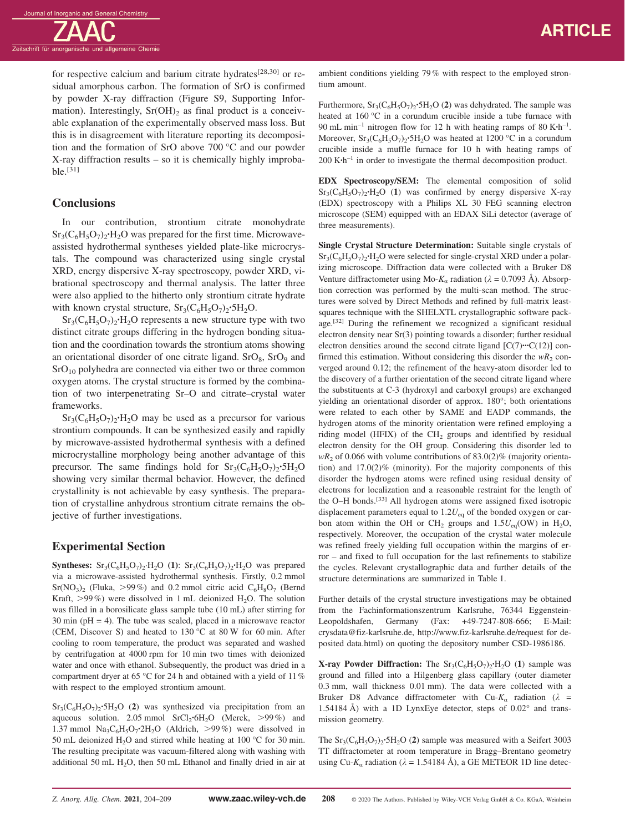Zeitschrift für anorganische und allgemeine Chemie

for respective calcium and barium citrate hydrates<sup>[28,30]</sup> or residual amorphous carbon. The formation of SrO is confirmed by powder X-ray diffraction (Figure S9, Supporting Information). Interestingly,  $Sr(OH)_2$  as final product is a conceivable explanation of the experimentally observed mass loss. But this is in disagreement with literature reporting its decomposition and the formation of SrO above 700 °C and our powder X-ray diffraction results – so it is chemically highly improbable.[31]

# **Conclusions**

In our contribution, strontium citrate monohydrate  $Sr<sub>3</sub>(C<sub>6</sub>H<sub>5</sub>O<sub>7</sub>)<sub>2</sub>·H<sub>2</sub>O$  was prepared for the first time. Microwaveassisted hydrothermal syntheses yielded plate-like microcrystals. The compound was characterized using single crystal XRD, energy dispersive X-ray spectroscopy, powder XRD, vibrational spectroscopy and thermal analysis. The latter three were also applied to the hitherto only strontium citrate hydrate with known crystal structure,  $Sr_3(C_6H_5O_7)_2 \cdot 5H_2O$ .

 $Sr<sub>3</sub>(C<sub>6</sub>H<sub>5</sub>O<sub>7</sub>)<sub>2</sub>·H<sub>2</sub>O$  represents a new structure type with two distinct citrate groups differing in the hydrogen bonding situation and the coordination towards the strontium atoms showing an orientational disorder of one citrate ligand.  $SrO<sub>8</sub>$ ,  $SrO<sub>9</sub>$  and  $SrO<sub>10</sub>$  polyhedra are connected via either two or three common oxygen atoms. The crystal structure is formed by the combination of two interpenetrating Sr–O and citrate–crystal water frameworks.

 $Sr<sub>3</sub>(C<sub>6</sub>H<sub>5</sub>O<sub>7</sub>)<sub>2</sub>·H<sub>2</sub>O$  may be used as a precursor for various strontium compounds. It can be synthesized easily and rapidly by microwave-assisted hydrothermal synthesis with a defined microcrystalline morphology being another advantage of this precursor. The same findings hold for  $Sr_3(C_6H_5O_7)_2 \cdot 5H_2O$ showing very similar thermal behavior. However, the defined crystallinity is not achievable by easy synthesis. The preparation of crystalline anhydrous strontium citrate remains the objective of further investigations.

# **Experimental Section**

**Syntheses:**  $Sr_3(C_6H_5O_7)_2 \cdot H_2O$  **(1)**:  $Sr_3(C_6H_5O_7)_2 \cdot H_2O$  was prepared via a microwave-assisted hydrothermal synthesis. Firstly, 0.2 mmol  $Sr(NO<sub>3</sub>)<sub>2</sub>$  (Fluka, >99%) and 0.2 mmol citric acid  $C<sub>6</sub>H<sub>8</sub>O<sub>7</sub>$  (Bernd Kraft,  $>99\%$ ) were dissolved in 1 mL deionized H<sub>2</sub>O. The solution was filled in a borosilicate glass sample tube (10 mL) after stirring for  $30 \text{ min }$  ( $pH = 4$ ). The tube was sealed, placed in a microwave reactor (CEM, Discover S) and heated to 130 °C at 80 W for 60 min. After cooling to room temperature, the product was separated and washed by centrifugation at 4000 rpm for 10 min two times with deionized water and once with ethanol. Subsequently, the product was dried in a compartment dryer at 65 °C for 24 h and obtained with a yield of 11% with respect to the employed strontium amount.

 $Sr<sub>3</sub>(C<sub>6</sub>H<sub>5</sub>O<sub>7</sub>)<sub>2</sub>·5H<sub>2</sub>O$  (2) was synthesized via precipitation from an aqueous solution. 2.05 mmol SrCl<sub>2</sub>**·**6H<sub>2</sub>O (Merck, >99%) and 1.37 mmol  $Na_3C_6H_5O_7$ **·2H<sub>2</sub>O** (Aldrich, >99%) were dissolved in 50 mL deionized H<sub>2</sub>O and stirred while heating at 100 °C for 30 min. The resulting precipitate was vacuum-filtered along with washing with additional 50 mL  $H<sub>2</sub>O$ , then 50 mL Ethanol and finally dried in air at

ambient conditions yielding 79% with respect to the employed strontium amount.

Furthermore,  $Sr_3(C_6H_5O_7)_2$ **·**5H<sub>2</sub>O (2) was dehydrated. The sample was heated at 160 °C in a corundum crucible inside a tube furnace with 90 mL min–1 nitrogen flow for 12 h with heating ramps of 80 K**·**h–1. Moreover,  $Sr_3(C_6H_5O_7)$ <sup>2</sup>·5H<sub>2</sub>O was heated at 1200 °C in a corundum crucible inside a muffle furnace for 10 h with heating ramps of 200 K**·**h–1 in order to investigate the thermal decomposition product.

**EDX Spectroscopy/SEM:** The elemental composition of solid  $Sr_3(C_6H_5O_7)_2 \cdot H_2O$  (1) was confirmed by energy dispersive X-ray (EDX) spectroscopy with a Philips XL 30 FEG scanning electron microscope (SEM) equipped with an EDAX SiLi detector (average of three measurements).

**Single Crystal Structure Determination:** Suitable single crystals of  $Sr_3(C_6H_5O_7)_2 \cdot H_2O$  were selected for single-crystal XRD under a polarizing microscope. Diffraction data were collected with a Bruker D8 Venture diffractometer using Mo- $K_{\alpha}$  radiation ( $\lambda = 0.7093$  Å). Absorption correction was performed by the multi-scan method. The structures were solved by Direct Methods and refined by full-matrix leastsquares technique with the SHELXTL crystallographic software package.<sup>[32]</sup> During the refinement we recognized a significant residual electron density near Sr(3) pointing towards a disorder; further residual electron densities around the second citrate ligand [C(7)**···**C(12)] confirmed this estimation. Without considering this disorder the  $wR_2$  converged around 0.12; the refinement of the heavy-atom disorder led to the discovery of a further orientation of the second citrate ligand where the substituents at C-3 (hydroxyl and carboxyl groups) are exchanged yielding an orientational disorder of approx. 180°; both orientations were related to each other by SAME and EADP commands, the hydrogen atoms of the minority orientation were refined employing a riding model (HFIX) of the  $CH<sub>2</sub>$  groups and identified by residual electron density for the OH group. Considering this disorder led to  $wR_2$  of 0.066 with volume contributions of 83.0(2)% (majority orientation) and 17.0(2)% (minority). For the majority components of this disorder the hydrogen atoms were refined using residual density of electrons for localization and a reasonable restraint for the length of the O–H bonds.[33] All hydrogen atoms were assigned fixed isotropic displacement parameters equal to  $1.2U_{eq}$  of the bonded oxygen or carbon atom within the OH or CH<sub>2</sub> groups and  $1.5U_{eq}(OW)$  in H<sub>2</sub>O, respectively. Moreover, the occupation of the crystal water molecule was refined freely yielding full occupation within the margins of error – and fixed to full occupation for the last refinements to stabilize the cycles. Relevant crystallographic data and further details of the structure determinations are summarized in Table 1.

Further details of the crystal structure investigations may be obtained from the Fachinformationszentrum Karlsruhe, 76344 Eggenstein-Leopoldshafen, Germany (Fax: +49-7247-808-666; E-Mail: crysdata@fiz-karlsruhe.de, http://www.fiz-karlsruhe.de/request for deposited data.html) on quoting the depository number CSD-1986186.

**X-ray Powder Diffraction:** The  $Sr_3(C_6H_5O_7)_2 \cdot H_2O$  (1) sample was ground and filled into a Hilgenberg glass capillary (outer diameter 0.3 mm, wall thickness 0.01 mm). The data were collected with a Bruker D8 Advance diffractometer with Cu- $K_{\alpha}$  radiation ( $\lambda$  = 1.54184 Å) with a 1D LynxEye detector, steps of 0.02° and transmission geometry.

The  $Sr_3(C_6H_5O_7)_2 \cdot 5H_2O$  (2) sample was measured with a Seifert 3003 TT diffractometer at room temperature in Bragg–Brentano geometry using Cu- $K_a$  radiation ( $\lambda = 1.54184$  Å), a GE METEOR 1D line detec